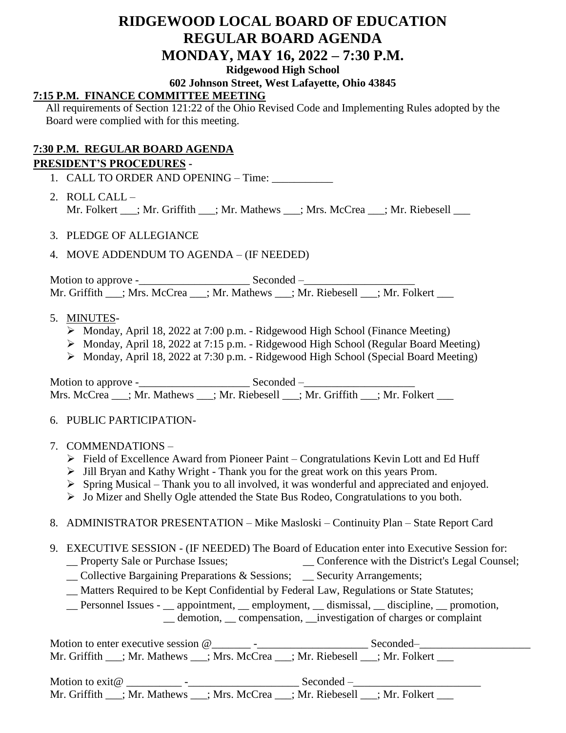# **RIDGEWOOD LOCAL BOARD OF EDUCATION REGULAR BOARD AGENDA MONDAY, MAY 16, 2022 – 7:30 P.M. Ridgewood High School**

### **602 Johnson Street, West Lafayette, Ohio 43845**

## **7:15 P.M. FINANCE COMMITTEE MEETING**

All requirements of Section 121:22 of the Ohio Revised Code and Implementing Rules adopted by the Board were complied with for this meeting.

### **7:30 P.M. REGULAR BOARD AGENDA**

#### **PRESIDENT'S PROCEDURES -**

- 1. CALL TO ORDER AND OPENING Time: \_\_\_\_\_\_\_\_\_\_\_
- 2. ROLL CALL Mr. Folkert \_\_\_; Mr. Griffith \_\_\_; Mr. Mathews \_\_\_; Mrs. McCrea \_\_\_; Mr. Riebesell \_\_\_
- 3. PLEDGE OF ALLEGIANCE
- 4. MOVE ADDENDUM TO AGENDA (IF NEEDED)

Motion to approve -\_\_\_\_\_\_\_\_\_\_\_\_\_\_\_\_\_\_\_\_ Seconded –\_\_\_\_\_\_\_\_\_\_\_\_\_\_\_\_\_\_\_\_ Mr. Griffith  $\frac{1}{\sqrt{1-\frac{1}{n}}}$ ; Mrs. McCrea  $\frac{1}{\sqrt{1-\frac{1}{n}}}$ ; Mr. Riebesell  $\frac{1}{\sqrt{1-\frac{1}{n}}}$ ; Mr. Folkert

#### 5. MINUTES-

- $\triangleright$  Monday, April 18, 2022 at 7:00 p.m. Ridgewood High School (Finance Meeting)
- Monday, April 18, 2022 at 7:15 p.m. Ridgewood High School (Regular Board Meeting)
- Monday, April 18, 2022 at 7:30 p.m. Ridgewood High School (Special Board Meeting)

Motion to approve -\_\_\_\_\_\_\_\_\_\_\_\_\_\_\_\_\_\_\_\_ Seconded –\_\_\_\_\_\_\_\_\_\_\_\_\_\_\_\_\_\_\_\_ Mrs. McCrea \_\_\_; Mr. Mathews \_\_\_; Mr. Riebesell \_\_\_; Mr. Griffith \_\_\_; Mr. Folkert \_\_\_

#### 6. PUBLIC PARTICIPATION-

- 7. COMMENDATIONS
	- $\triangleright$  Field of Excellence Award from Pioneer Paint Congratulations Kevin Lott and Ed Huff
	- $\triangleright$  Jill Bryan and Kathy Wright Thank you for the great work on this years Prom.
	- $\triangleright$  Spring Musical Thank you to all involved, it was wonderful and appreciated and enjoyed.
	- Jo Mizer and Shelly Ogle attended the State Bus Rodeo, Congratulations to you both.
- 8. ADMINISTRATOR PRESENTATION Mike Masloski Continuity Plan State Report Card
- 9. EXECUTIVE SESSION (IF NEEDED) The Board of Education enter into Executive Session for: \_ Conference with the District's Legal Counsel;
	- \_\_ Collective Bargaining Preparations & Sessions; \_\_ Security Arrangements;
	- \_\_ Matters Required to be Kept Confidential by Federal Law, Regulations or State Statutes;
	- \_\_ Personnel Issues \_\_ appointment, \_\_ employment, \_\_ dismissal, \_\_ discipline, \_\_ promotion,

\_\_ demotion, \_\_ compensation, \_\_investigation of charges or complaint

Motion to enter executive session @\_\_\_\_\_\_\_ -\_\_\_\_\_\_\_\_\_\_\_\_\_\_\_\_\_\_\_\_ Seconded–\_\_\_\_\_\_\_\_\_\_\_\_\_\_\_\_\_\_\_\_ Mr. Griffith \_\_\_; Mr. Mathews \_\_\_; Mrs. McCrea \_\_\_; Mr. Riebesell \_\_\_; Mr. Folkert \_\_\_

Motion to exit@ \_\_\_\_\_\_\_\_\_\_ -\_\_\_\_\_\_\_\_\_\_\_\_\_\_\_\_\_\_\_\_ Seconded –\_\_\_\_\_\_\_\_\_\_\_\_\_\_\_\_\_\_\_\_\_\_\_ Mr. Griffith \_\_\_; Mr. Mathews \_\_\_; Mrs. McCrea \_\_\_; Mr. Riebesell \_\_\_; Mr. Folkert \_\_\_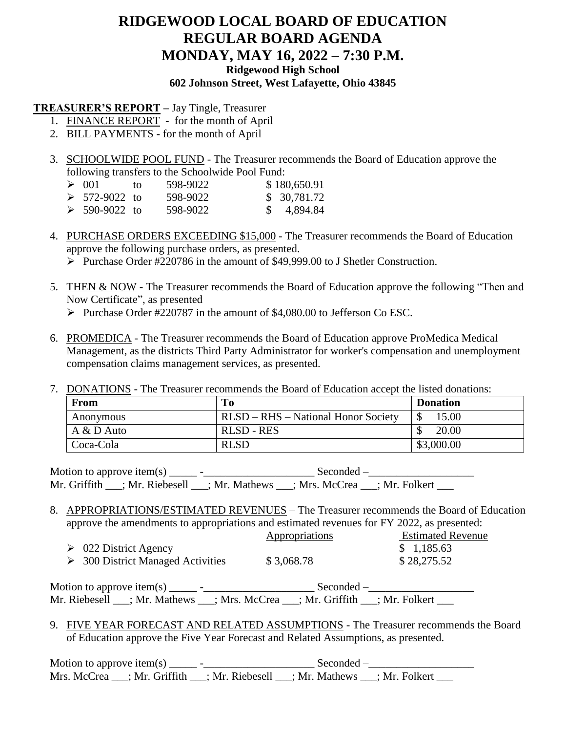## **RIDGEWOOD LOCAL BOARD OF EDUCATION REGULAR BOARD AGENDA MONDAY, MAY 16, 2022 – 7:30 P.M. Ridgewood High School 602 Johnson Street, West Lafayette, Ohio 43845**

### **TREASURER'S REPORT –** Jay Tingle, Treasurer

- 1. FINANCE REPORT for the month of April
- 2. BILL PAYMENTS **-** for the month of April
- 3. SCHOOLWIDE POOL FUND The Treasurer recommends the Board of Education approve the following transfers to the Schoolwide Pool Fund:

| $\geq 001$           | TΩ | 598-9022 | \$180,650.91 |
|----------------------|----|----------|--------------|
| $\geq 572 - 9022$ to |    | 598-9022 | \$ 30,781.72 |
| $\geq 590 - 9022$ to |    | 598-9022 | \$ 4,894.84  |

- 4. PURCHASE ORDERS EXCEEDING \$15,000 The Treasurer recommends the Board of Education approve the following purchase orders, as presented.
	- Purchase Order #220786 in the amount of \$49,999.00 to J Shetler Construction.
- 5. THEN & NOW The Treasurer recommends the Board of Education approve the following "Then and Now Certificate", as presented
	- Purchase Order #220787 in the amount of \$4,080.00 to Jefferson Co ESC.
- 6. PROMEDICA The Treasurer recommends the Board of Education approve ProMedica Medical Management, as the districts Third Party Administrator for worker's compensation and unemployment compensation claims management services, as presented.
- 7. DONATIONS The Treasurer recommends the Board of Education accept the listed donations:

| <b>From</b> | To                                         | <b>Donation</b> |
|-------------|--------------------------------------------|-----------------|
| Anonymous   | <b>RLSD - RHS - National Honor Society</b> | 15.00           |
| A & D Auto  | <b>RLSD - RES</b>                          | 20.00           |
| Coca-Cola   | <b>RLSD</b>                                | \$3,000.00      |

Motion to approve item(s) \_\_\_\_\_ -\_\_\_\_\_\_\_\_\_\_\_\_\_\_\_\_\_\_\_\_ Seconded –\_\_\_\_\_\_\_\_\_\_\_\_\_\_\_\_\_\_\_ Mr. Griffith \_\_\_; Mr. Riebesell \_\_\_; Mr. Mathews \_\_\_; Mrs. McCrea \_\_\_; Mr. Folkert \_\_\_

8. APPROPRIATIONS/ESTIMATED REVENUES – The Treasurer recommends the Board of Education approve the amendments to appropriations and estimated revenues for FY 2022, as presented:

|                                        | <i>Appropriations</i> | <b>Estimated Revenue</b> |
|----------------------------------------|-----------------------|--------------------------|
| $\geq 022$ District Agency             |                       | \$1,185.63               |
| $\geq$ 300 District Managed Activities | \$3,068.78            | \$28,275.52              |
|                                        |                       |                          |

Motion to approve item(s) \_\_\_\_\_ -\_\_\_\_\_\_\_\_\_\_\_\_\_\_\_\_\_\_\_\_ Seconded –\_\_\_\_\_\_\_\_\_\_\_\_\_\_\_\_\_\_\_ Mr. Riebesell \_\_\_; Mr. Mathews \_\_\_; Mrs. McCrea \_\_\_; Mr. Griffith \_\_\_; Mr. Folkert \_\_\_

9. FIVE YEAR FORECAST AND RELATED ASSUMPTIONS - The Treasurer recommends the Board of Education approve the Five Year Forecast and Related Assumptions, as presented.

Motion to approve item(s) \_\_\_\_\_ -\_\_\_\_\_\_\_\_\_\_\_\_\_\_\_\_\_\_\_\_ Seconded –\_\_\_\_\_\_\_\_\_\_\_\_\_\_\_\_\_\_\_ Mrs. McCrea \_\_\_; Mr. Griffith \_\_\_; Mr. Riebesell \_\_\_; Mr. Mathews \_\_\_; Mr. Folkert \_\_\_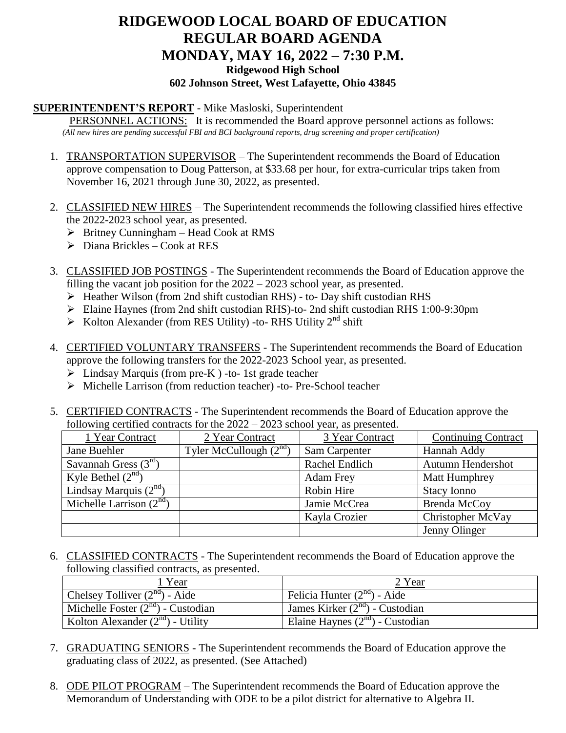# **RIDGEWOOD LOCAL BOARD OF EDUCATION REGULAR BOARD AGENDA MONDAY, MAY 16, 2022 – 7:30 P.M. Ridgewood High School 602 Johnson Street, West Lafayette, Ohio 43845**

### **SUPERINTENDENT'S REPORT** - Mike Masloski, Superintendent

PERSONNEL ACTIONS: It is recommended the Board approve personnel actions as follows: *(All new hires are pending successful FBI and BCI background reports, drug screening and proper certification)*

- 1. TRANSPORTATION SUPERVISOR The Superintendent recommends the Board of Education approve compensation to Doug Patterson, at \$33.68 per hour, for extra-curricular trips taken from November 16, 2021 through June 30, 2022, as presented.
- 2. CLASSIFIED NEW HIRES The Superintendent recommends the following classified hires effective the 2022-2023 school year, as presented.
	- $\triangleright$  Britney Cunningham Head Cook at RMS
	- $\triangleright$  Diana Brickles Cook at RES
- 3. CLASSIFIED JOB POSTINGS The Superintendent recommends the Board of Education approve the filling the vacant job position for the 2022 – 2023 school year, as presented.
	- Heather Wilson (from 2nd shift custodian RHS) to- Day shift custodian RHS
	- Elaine Haynes (from 2nd shift custodian RHS)-to- 2nd shift custodian RHS 1:00-9:30pm
	- $\triangleright$  Kolton Alexander (from RES Utility) -to- RHS Utility 2<sup>nd</sup> shift
- 4. CERTIFIED VOLUNTARY TRANSFERS The Superintendent recommends the Board of Education approve the following transfers for the 2022-2023 School year, as presented.
	- $\triangleright$  Lindsay Marquis (from pre-K) -to- 1st grade teacher
	- Michelle Larrison (from reduction teacher) -to- Pre-School teacher
- 5. CERTIFIED CONTRACTS The Superintendent recommends the Board of Education approve the following certified contracts for the 2022 – 2023 school year, as presented.

| 1 Year Contract           | 2 Year Contract          | 3 Year Contract  | <b>Continuing Contract</b> |
|---------------------------|--------------------------|------------------|----------------------------|
| Jane Buehler              | Tyler McCullough $(2nd)$ | Sam Carpenter    | Hannah Addy                |
| Savannah Gress $(3rd)$    |                          | Rachel Endlich   | Autumn Hendershot          |
| Kyle Bethel $(2^{nd})$    |                          | <b>Adam Frey</b> | Matt Humphrey              |
| Lindsay Marquis $(2nd)$   |                          | Robin Hire       | <b>Stacy Ionno</b>         |
| Michelle Larrison $(2nd)$ |                          | Jamie McCrea     | Brenda McCoy               |
|                           |                          | Kayla Crozier    | Christopher McVay          |
|                           |                          |                  | Jenny Olinger              |

6. CLASSIFIED CONTRACTS - The Superintendent recommends the Board of Education approve the following classified contracts, as presented.

| Year                                   | 2 Year                               |
|----------------------------------------|--------------------------------------|
| Chelsey Tolliver $(2^{nd})$ - Aide     | Felicia Hunter $(2^{nd})$ - Aide     |
| Michelle Foster $(2^{nd})$ - Custodian | James Kirker $(2^{nd})$ - Custodian  |
| Kolton Alexander $(2^{nd})$ - Utility  | Elaine Haynes $(2^{nd})$ - Custodian |

- 7. GRADUATING SENIORS The Superintendent recommends the Board of Education approve the graduating class of 2022, as presented. (See Attached)
- 8. ODE PILOT PROGRAM The Superintendent recommends the Board of Education approve the Memorandum of Understanding with ODE to be a pilot district for alternative to Algebra II.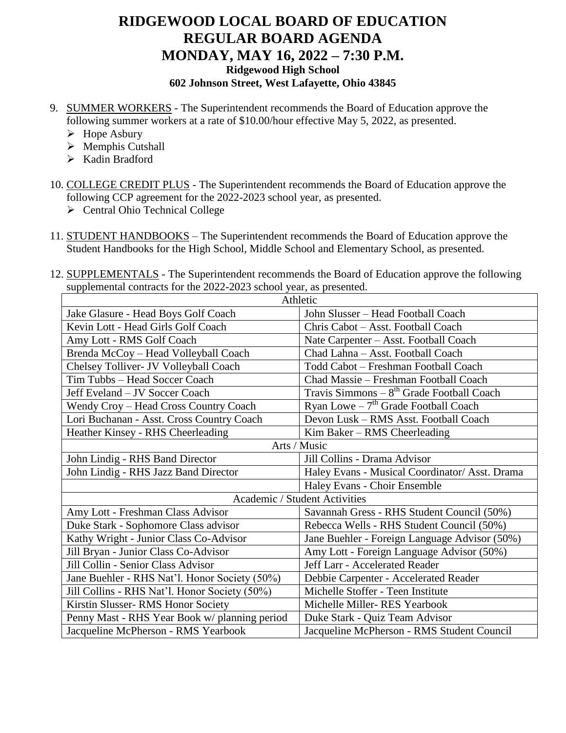## **RIDGEWOOD LOCAL BOARD OF EDUCATION REGULAR BOARD AGENDA MONDAY, MAY 16, 2022 – 7:30 P.M. Ridgewood High School 602 Johnson Street, West Lafayette, Ohio 43845**

- 9. SUMMER WORKERS The Superintendent recommends the Board of Education approve the following summer workers at a rate of \$10.00/hour effective May 5, 2022, as presented.
	- $\triangleright$  Hope Asbury
	- $\triangleright$  Memphis Cutshall
	- $\triangleright$  Kadin Bradford
- 10. COLLEGE CREDIT PLUS The Superintendent recommends the Board of Education approve the following CCP agreement for the 2022-2023 school year, as presented.
	- $\triangleright$  Central Ohio Technical College
- 11. STUDENT HANDBOOKS The Superintendent recommends the Board of Education approve the Student Handbooks for the High School, Middle School and Elementary School, as presented.
- 12. SUPPLEMENTALS The Superintendent recommends the Board of Education approve the following supplemental contracts for the 2022-2023 school year, as presented.

| Athletic                                      |                                                |  |  |
|-----------------------------------------------|------------------------------------------------|--|--|
| Jake Glasure - Head Boys Golf Coach           | John Slusser - Head Football Coach             |  |  |
| Kevin Lott - Head Girls Golf Coach            | Chris Cabot - Asst. Football Coach             |  |  |
| Amy Lott - RMS Golf Coach                     | Nate Carpenter - Asst. Football Coach          |  |  |
| Brenda McCoy - Head Volleyball Coach          | Chad Lahna - Asst. Football Coach              |  |  |
| Chelsey Tolliver- JV Volleyball Coach         | Todd Cabot - Freshman Football Coach           |  |  |
| Tim Tubbs - Head Soccer Coach                 | Chad Massie - Freshman Football Coach          |  |  |
| Jeff Eveland - JV Soccer Coach                | Travis Simmons $-8th$ Grade Football Coach     |  |  |
| Wendy Croy - Head Cross Country Coach         | Ryan Lowe $-7th$ Grade Football Coach          |  |  |
| Lori Buchanan - Asst. Cross Country Coach     | Devon Lusk – RMS Asst. Football Coach          |  |  |
| Heather Kinsey - RHS Cheerleading             | $Kim Baker - RMS Cheerleading$                 |  |  |
| Arts / Music                                  |                                                |  |  |
| John Lindig - RHS Band Director               | Jill Collins - Drama Advisor                   |  |  |
| John Lindig - RHS Jazz Band Director          | Haley Evans - Musical Coordinator/ Asst. Drama |  |  |
|                                               | Haley Evans - Choir Ensemble                   |  |  |
| Academic / Student Activities                 |                                                |  |  |
| Amy Lott - Freshman Class Advisor             | Savannah Gress - RHS Student Council (50%)     |  |  |
| Duke Stark - Sophomore Class advisor          | Rebecca Wells - RHS Student Council (50%)      |  |  |
| Kathy Wright - Junior Class Co-Advisor        | Jane Buehler - Foreign Language Advisor (50%)  |  |  |
| Jill Bryan - Junior Class Co-Advisor          | Amy Lott - Foreign Language Advisor (50%)      |  |  |
| Jill Collin - Senior Class Advisor            | Jeff Larr - Accelerated Reader                 |  |  |
| Jane Buehler - RHS Nat'l. Honor Society (50%) | Debbie Carpenter - Accelerated Reader          |  |  |
| Jill Collins - RHS Nat'l. Honor Society (50%) | Michelle Stoffer - Teen Institute              |  |  |
| Kirstin Slusser- RMS Honor Society            | Michelle Miller-RES Yearbook                   |  |  |
| Penny Mast - RHS Year Book w/ planning period | Duke Stark - Quiz Team Advisor                 |  |  |
| Jacqueline McPherson - RMS Yearbook           | Jacqueline McPherson - RMS Student Council     |  |  |